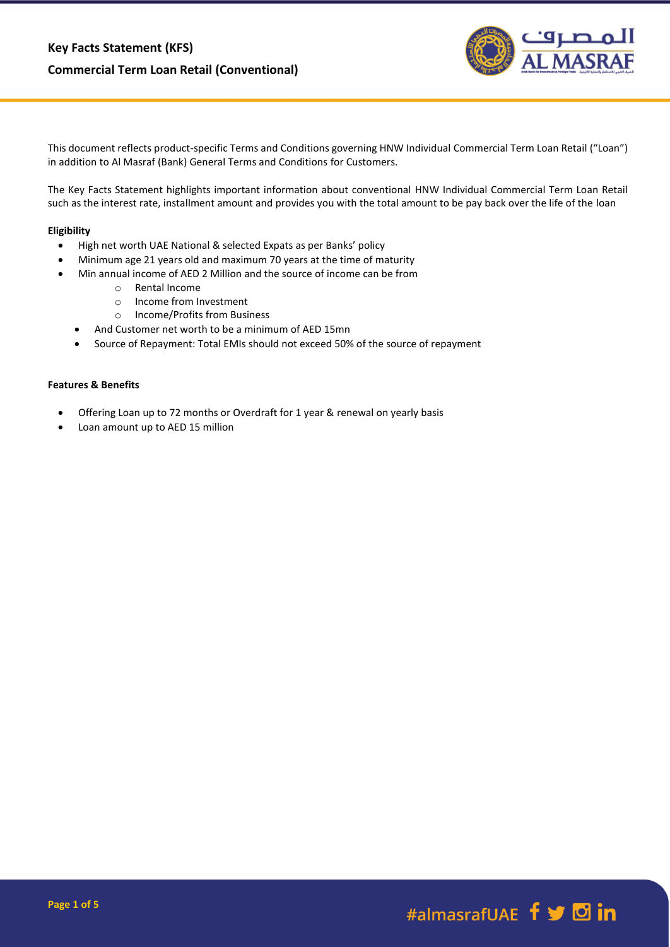

This document reflects product-specific Terms and Conditions governing HNW Individual Commercial Term Loan Retail ("Loan") in addition to Al Masraf (Bank) General Terms and Conditions for Customers.

The Key Facts Statement highlights important information about conventional HNW Individual Commercial Term Loan Retail such as the interest rate, installment amount and provides you with the total amount to be pay back over the life of the loan

# **Eligibility**

- High net worth UAE National & selected Expats as per Banks' policy
- Minimum age 21 years old and maximum 70 years at the time of maturity
	- Min annual income of AED 2 Million and the source of income can be from
		- o Rental Income
		- o Income from Investment
		- o Income/Profits from Business
		- And Customer net worth to be a minimum of AED 15mn
		- Source of Repayment: Total EMIs should not exceed 50% of the source of repayment

#### **Features & Benefits**

- Offering Loan up to 72 months or Overdraft for 1 year & renewal on yearly basis
- Loan amount up to AED 15 million

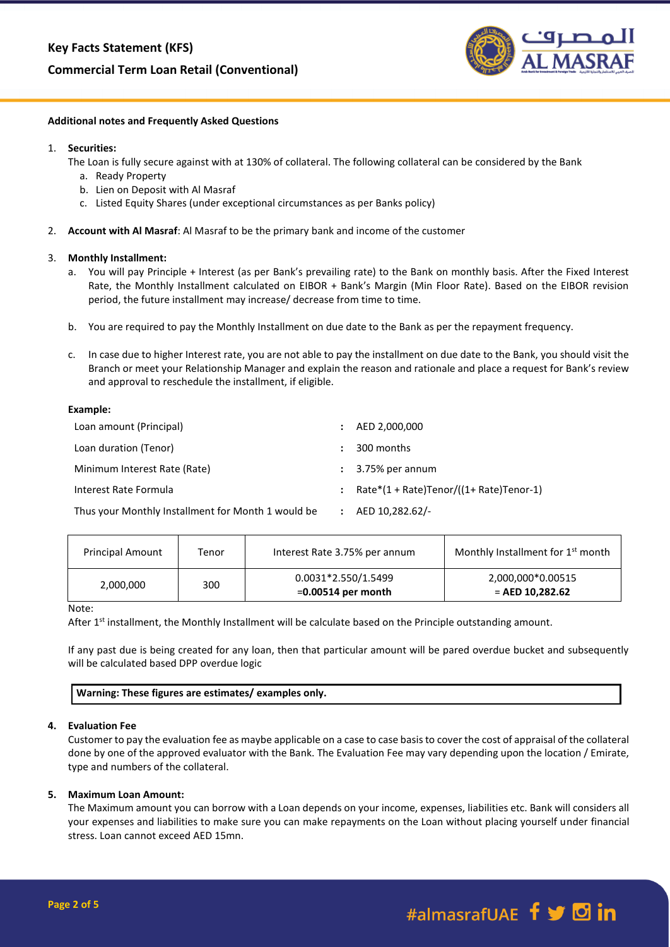# **Commercial Term Loan Retail (Conventional)**



## **Additional notes and Frequently Asked Questions**

### 1. **Securities:**

The Loan is fully secure against with at 130% of collateral. The following collateral can be considered by the Bank

- a. Ready Property
- b. Lien on Deposit with Al Masraf
- c. Listed Equity Shares (under exceptional circumstances as per Banks policy)
- 2. **Account with Al Masraf**: Al Masraf to be the primary bank and income of the customer

### 3. **Monthly Installment:**

- a. You will pay Principle + Interest (as per Bank's prevailing rate) to the Bank on monthly basis. After the Fixed Interest Rate, the Monthly Installment calculated on EIBOR + Bank's Margin (Min Floor Rate). Based on the EIBOR revision period, the future installment may increase/ decrease from time to time.
- b. You are required to pay the Monthly Installment on due date to the Bank as per the repayment frequency.
- c. In case due to higher Interest rate, you are not able to pay the installment on due date to the Bank, you should visit the Branch or meet your Relationship Manager and explain the reason and rationale and place a request for Bank's review and approval to reschedule the installment, if eligible.

### **Example:**

| Loan amount (Principal)                            | ÷                    | AED 2,000,000                              |
|----------------------------------------------------|----------------------|--------------------------------------------|
| Loan duration (Tenor)                              | ÷                    | 300 months                                 |
| Minimum Interest Rate (Rate)                       |                      | $\therefore$ 3.75% per annum               |
| Interest Rate Formula                              | $\ddot{\phantom{a}}$ | $Rate*(1 + Rate)Tenor/((1 + Rate)Tenor-1)$ |
| Thus your Monthly Installment for Month 1 would be | $\ddot{\phantom{a}}$ | AED 10,282.62/-                            |

| <b>Principal Amount</b> | Tenor | Interest Rate 3.75% per annum               | Monthly Installment for 1 <sup>st</sup> month |
|-------------------------|-------|---------------------------------------------|-----------------------------------------------|
| 2,000,000               | 300   | 0.0031*2.550/1.5499<br>$=0.00514$ per month | 2,000,000*0.00515<br>$=$ AED 10.282.62        |

#### Note:

After 1<sup>st</sup> installment, the Monthly Installment will be calculate based on the Principle outstanding amount.

If any past due is being created for any loan, then that particular amount will be pared overdue bucket and subsequently will be calculated based DPP overdue logic

| Warning: These figures are estimates/ examples only. |
|------------------------------------------------------|
|------------------------------------------------------|

#### **4. Evaluation Fee**

Customer to pay the evaluation fee as maybe applicable on a case to case basis to cover the cost of appraisal of the collateral done by one of the approved evaluator with the Bank. The Evaluation Fee may vary depending upon the location / Emirate, type and numbers of the collateral.

#### **5. Maximum Loan Amount:**

The Maximum amount you can borrow with a Loan depends on your income, expenses, liabilities etc. Bank will considers all your expenses and liabilities to make sure you can make repayments on the Loan without placing yourself under financial stress. Loan cannot exceed AED 15mn.

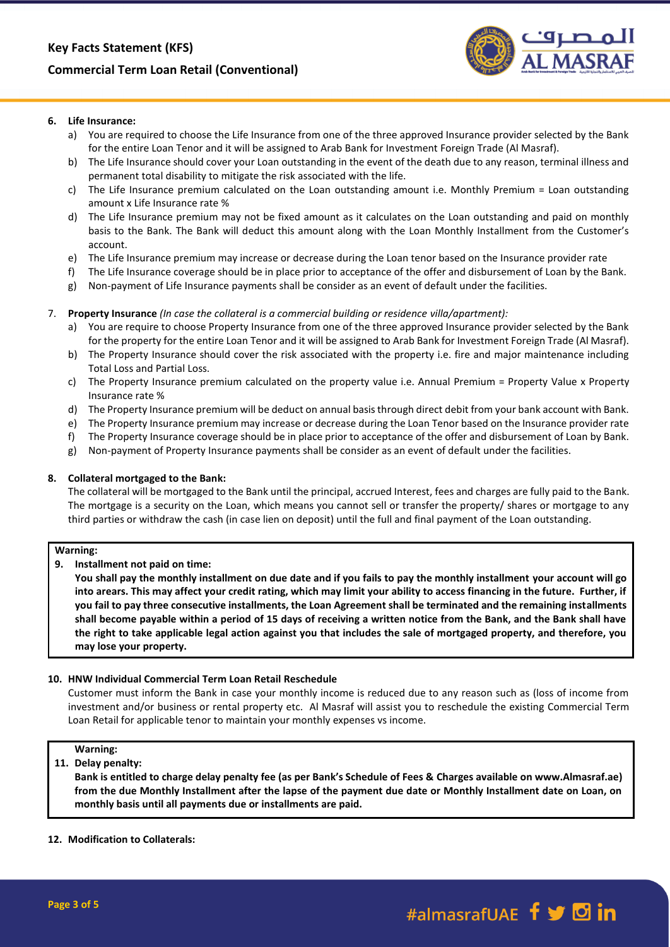# **Commercial Term Loan Retail (Conventional)**



# **6. Life Insurance:**

- a) You are required to choose the Life Insurance from one of the three approved Insurance provider selected by the Bank for the entire Loan Tenor and it will be assigned to Arab Bank for Investment Foreign Trade (Al Masraf).
- b) The Life Insurance should cover your Loan outstanding in the event of the death due to any reason, terminal illness and permanent total disability to mitigate the risk associated with the life.
- c) The Life Insurance premium calculated on the Loan outstanding amount i.e. Monthly Premium = Loan outstanding amount x Life Insurance rate %
- d) The Life Insurance premium may not be fixed amount as it calculates on the Loan outstanding and paid on monthly basis to the Bank. The Bank will deduct this amount along with the Loan Monthly Installment from the Customer's account.
- e) The Life Insurance premium may increase or decrease during the Loan tenor based on the Insurance provider rate
- f) The Life Insurance coverage should be in place prior to acceptance of the offer and disbursement of Loan by the Bank. g) Non-payment of Life Insurance payments shall be consider as an event of default under the facilities.
- 

# 7. **Property Insurance** *(In case the collateral is a commercial building or residence villa/apartment):*

- a) You are require to choose Property Insurance from one of the three approved Insurance provider selected by the Bank for the property for the entire Loan Tenor and it will be assigned to Arab Bank for Investment Foreign Trade (Al Masraf).
- b) The Property Insurance should cover the risk associated with the property i.e. fire and major maintenance including Total Loss and Partial Loss.
- c) The Property Insurance premium calculated on the property value i.e. Annual Premium = Property Value x Property Insurance rate %
- d) The Property Insurance premium will be deduct on annual basis through direct debit from your bank account with Bank.
- e) The Property Insurance premium may increase or decrease during the Loan Tenor based on the Insurance provider rate
- f) The Property Insurance coverage should be in place prior to acceptance of the offer and disbursement of Loan by Bank.
- g) Non-payment of Property Insurance payments shall be consider as an event of default under the facilities.

# **8. Collateral mortgaged to the Bank:**

The collateral will be mortgaged to the Bank until the principal, accrued Interest, fees and charges are fully paid to the Bank. The mortgage is a security on the Loan, which means you cannot sell or transfer the property/ shares or mortgage to any third parties or withdraw the cash (in case lien on deposit) until the full and final payment of the Loan outstanding.

# **Warning:**

# **9. Installment not paid on time:**

**You shall pay the monthly installment on due date and if you fails to pay the monthly installment your account will go into arears. This may affect your credit rating, which may limit your ability to access financing in the future. Further, if you fail to pay three consecutive installments, the Loan Agreement shall be terminated and the remaining installments shall become payable within a period of 15 days of receiving a written notice from the Bank, and the Bank shall have the right to take applicable legal action against you that includes the sale of mortgaged property, and therefore, you may lose your property.**

# **10. HNW Individual Commercial Term Loan Retail Reschedule**

Customer must inform the Bank in case your monthly income is reduced due to any reason such as (loss of income from investment and/or business or rental property etc. Al Masraf will assist you to reschedule the existing Commercial Term Loan Retail for applicable tenor to maintain your monthly expenses vs income.

# **Warning:**

# **11. Delay penalty:**

**Bank is entitled to charge delay penalty fee (as per Bank's Schedule of Fees & Charges available on www.Almasraf.ae) from the due Monthly Installment after the lapse of the payment due date or Monthly Installment date on Loan, on monthly basis until all payments due or installments are paid.** 

# **12. Modification to Collaterals:**